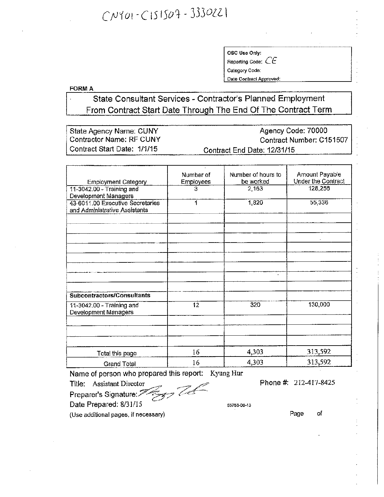## $CNY01-C151507 - 3330221$

OSC Use Only: Reporting Code: *CE*

Category Code:

Date Contract Approved:

FORMA

State Consultant Services - Contractor's Planned Employment From Contract Start Date Through The End Of The Contract Term

| ⊟State Agency Name: CUNY    | Agency Code: 70000          |
|-----------------------------|-----------------------------|
| Contractor Name: RF CUNY    | Contract Number: C151507    |
| Contract Start Date: 1/1/15 | Contract End Date: 12/31/15 |

|                                  | Number of        | Number of hours to | Amount Payable     |
|----------------------------------|------------------|--------------------|--------------------|
| <b>Employment Category</b>       | <b>Employees</b> | be worked          | Under the Contract |
| 11-3042.00 - Training and        | 3                | 2,163              | 128,256            |
| Development Managers             |                  |                    |                    |
| 43-6011.00 Executive Secretaries | 1                | 1,820              | 55,336             |
| and Administrative Assistants    |                  |                    |                    |
|                                  |                  |                    |                    |
|                                  |                  |                    |                    |
|                                  |                  |                    |                    |
|                                  |                  |                    |                    |
|                                  |                  |                    |                    |
|                                  |                  |                    |                    |
|                                  |                  |                    |                    |
|                                  |                  | $\bullet$          |                    |
|                                  |                  |                    |                    |
| Subcontractors/Consultants       |                  |                    |                    |
|                                  |                  |                    |                    |
| 11-3042.00 - Training and        | 12               | 320                | 130,000            |
| Development Managers             |                  |                    |                    |
|                                  |                  |                    |                    |
|                                  |                  |                    |                    |
|                                  |                  |                    |                    |
| Total this page                  | 16               | 4,303              | 313,592            |
|                                  | 16               | 4,303              | 313,592            |
| Grand Total                      |                  |                    |                    |

Name of person who prepared this report: Kyung Hur

Title: Assistant Director

Phone #: 212-417-8425

Preparer's Signature:

Date Prepared: 8/31/15 55756-00-13

(Use additional pages, if necessary)

Page of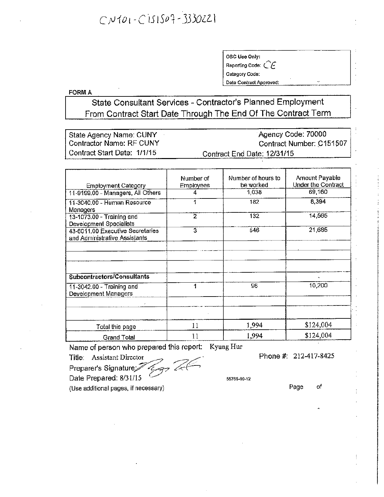## $CNOT01-C151S02-3330221$

OSC Use Only: Reporting Code: *C E.* Category Code: Date Contract Approved:

FORMA

State Consultant Services - Contractor's Planned Employment From Contract Start Date Through The End Of The Contract Term

State Agency Name: CUNY Contractor Name: RF CUNY Contract Start Date: 1/1/15 Agency Code: 70000 Contract Number: C151507 Contract End Date: *12/31/15*

|                                                                   | Number of        | Number of hours to | Amount Payable     |
|-------------------------------------------------------------------|------------------|--------------------|--------------------|
| <b>Employment Category</b>                                        | <b>Employees</b> | be worked          | Under the Contract |
| 11-9199.00 - Managers, All Others                                 | 4                | 1,038              | 69,160             |
| 11-3040.00 - Human Resource<br>Managers                           |                  | 182                | 8,394              |
| 13-1073.00 - Training and<br>Development Specialists              | 2                | 132                | 14,565             |
| 43-6011.00 Executive Secretaries<br>and Administrative Assistants | 3                | 546                | 21,685             |
|                                                                   |                  |                    |                    |
| Subcontractors/Consultants                                        |                  |                    | ×.                 |
| 11-3042.00 - Training and<br>Development Managers                 | 1                | 96                 | 10,200             |
|                                                                   |                  |                    |                    |
| Total this page                                                   | 11               | 1,994              | \$124,004          |
| Grand Total                                                       | 11               | 1,994              | \$124,004          |

Name of person who prepared this report: Kyung Hur

Title: Assistant Director

Phone #: 212-417-8425

Preparer's Signature<sup>2</sup>

Date Prepared: *8/31115 '.*

55765-00-12

Page of

(Use additional pages, if necessary)